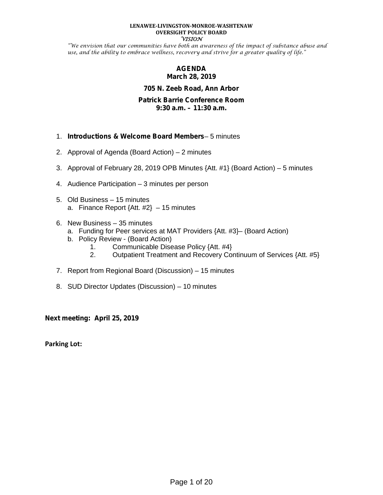## **LENAWEE-LIVINGSTON-MONROE-WASHTENAW OVERSIGHT POLICY BOARD VISION**

"We envision that our communities have both an awareness of the impact of substance abuse and use, and the ability to embrace wellness, recovery and strive for a greater quality of life."

# **AGENDA March 28, 2019**

# **705 N. Zeeb Road, Ann Arbor**

# **Patrick Barrie Conference Room 9:30 a.m. – 11:30 a.m.**

- 1. *Introductions & Welcome Board Members* 5 minutes
- 2. Approval of Agenda (Board Action) 2 minutes
- 3. Approval of February 28, 2019 OPB Minutes {Att. #1} (Board Action) 5 minutes
- 4. Audience Participation 3 minutes per person
- 5. Old Business 15 minutes a. Finance Report  $\{Att. #2\} - 15$  minutes
- 6. New Business 35 minutes
	- a. Funding for Peer services at MAT Providers {Att. #3}– (Board Action)
	- b. Policy Review (Board Action)
		- 1. Communicable Disease Policy {Att. #4}<br>2. Outpatient Treatment and Recovery Co
		- 2. Outpatient Treatment and Recovery Continuum of Services {Att. #5}
- 7. Report from Regional Board (Discussion) 15 minutes
- 8. SUD Director Updates (Discussion) 10 minutes

**Next meeting: April 25, 2019**

**Parking Lot:**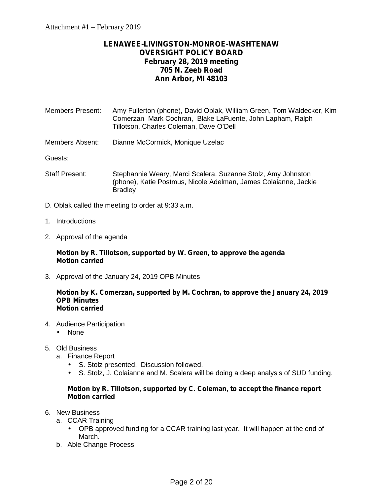# **LENAWEE-LIVINGSTON-MONROE-WASHTENAW OVERSIGHT POLICY BOARD February 28, 2019 meeting 705 N. Zeeb Road Ann Arbor, MI 48103**

- Members Present: Amy Fullerton (phone), David Oblak, William Green, Tom Waldecker, Kim Comerzan Mark Cochran, Blake LaFuente, John Lapham, Ralph Tillotson, Charles Coleman, Dave O'Dell
- Members Absent: Dianne McCormick, Monique Uzelac

Guests:

- Staff Present: Stephannie Weary, Marci Scalera, Suzanne Stolz, Amy Johnston (phone), Katie Postmus, Nicole Adelman, James Colaianne, Jackie **Bradley**
- D. Oblak called the meeting to order at 9:33 a.m.
- 1. Introductions
- 2. Approval of the agenda

# **Motion by R. Tillotson, supported by W. Green, to approve the agenda Motion carried**

3. Approval of the January 24, 2019 OPB Minutes

# **Motion by K. Comerzan, supported by M. Cochran, to approve the January 24, 2019 OPB Minutes Motion carried**

- 4. Audience Participation
	- l None
- 5. Old Business
	- a. Finance Report
		- S. Stolz presented. Discussion followed.
		- $\hat{I}$  S. Stolz, J. Colaianne and M. Scalera will be doing a deep analysis of SUD funding.

# **Motion by R. Tillotson, supported by C. Coleman, to accept the finance report Motion carried**

- 6. New Business
	- a. CCAR Training
		- OPB approved funding for a CCAR training last year. It will happen at the end of March.
	- b. Able Change Process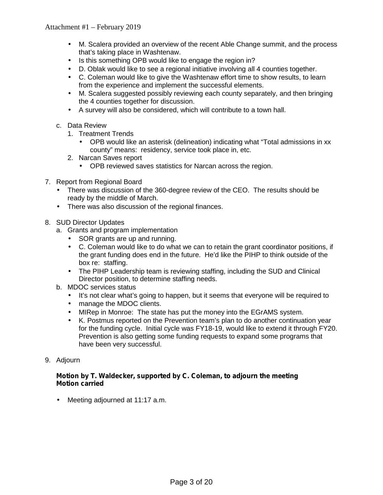- M. Scalera provided an overview of the recent Able Change summit, and the process that's taking place in Washtenaw.
- Is this something OPB would like to engage the region in?
- D. Oblak would like to see a regional initiative involving all 4 counties together.
- $\overline{C}$ . Coleman would like to give the Washtenaw effort time to show results, to learn from the experience and implement the successful elements.
- $\parallel$  M. Scalera suggested possibly reviewing each county separately, and then bringing the 4 counties together for discussion.
- A survey will also be considered, which will contribute to a town hall.
- c. Data Review
	- 1. Treatment Trends
		- OPB would like an asterisk (delineation) indicating what "Total admissions in xx county" means: residency, service took place in, etc.
	- 2. Narcan Saves report
		- OPB reviewed saves statistics for Narcan across the region.
- 7. Report from Regional Board
	- There was discussion of the 360-degree review of the CEO. The results should be ready by the middle of March.
	- There was also discussion of the regional finances.
- 8. SUD Director Updates
	- a. Grants and program implementation
		- SOR grants are up and running.
		- C. Coleman would like to do what we can to retain the grant coordinator positions, if the grant funding does end in the future. He'd like the PIHP to think outside of the box re: staffing.
		- The PIHP Leadership team is reviewing staffing, including the SUD and Clinical Director position, to determine staffing needs.
	- b. MDOC services status
		- It's not clear what's going to happen, but it seems that everyone will be required to manage the MDOC clients.
		- MIRep in Monroe: The state has put the money into the EGrAMS system.
		- K. Postmus reported on the Prevention team's plan to do another continuation year for the funding cycle. Initial cycle was FY18-19, would like to extend it through FY20. Prevention is also getting some funding requests to expand some programs that have been very successful.
- 9. Adjourn

# **Motion by T. Waldecker, supported by C. Coleman, to adjourn the meeting Motion carried**

Meeting adjourned at 11:17 a.m.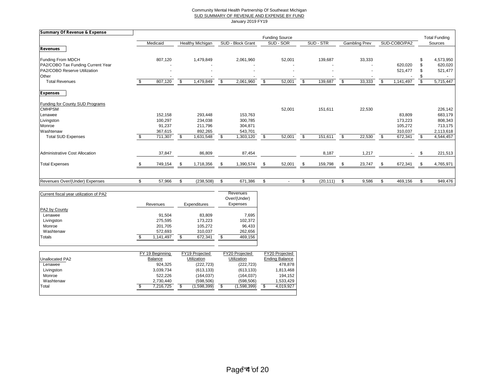#### Community Mental Health Partnership Of Southeast Michigan SUD SUMMARY OF REVENUE AND EXPENSE BY FUND January 2019 FY19

| <b>Summary Of Revenue &amp; Expense</b> |              |                         |      |                   |     |                       |           |     |                      |                 |                      |
|-----------------------------------------|--------------|-------------------------|------|-------------------|-----|-----------------------|-----------|-----|----------------------|-----------------|----------------------|
|                                         |              |                         |      |                   |     | <b>Funding Source</b> |           |     |                      |                 | <b>Total Funding</b> |
|                                         | Medicaid     | <b>Healthy Michigan</b> |      | SUD - Block Grant |     | SUD - SOR             | SUD - STR |     | <b>Gambling Prev</b> | SUD-COBO/PA2    | Sources              |
| <b>Revenues</b>                         |              |                         |      |                   |     |                       |           |     |                      |                 |                      |
| Funding From MDCH                       | 807,120      | 1,479,849               |      | 2,061,960         |     | 52,001                | 139,687   |     | 33,333               |                 | 4,573,950            |
| PA2/COBO Tax Funding Current Year       |              |                         |      |                   |     |                       |           |     |                      | 620,020         | 620,020              |
| PA2/COBO Reserve Utilization            |              |                         |      |                   |     |                       |           |     |                      | 521,477         | 521,477              |
| Other                                   |              |                         |      |                   |     |                       |           |     |                      |                 |                      |
| <b>Total Revenues</b>                   | 807,120      | \$<br>1,479,849         | \$   | 2,061,960         | \$. | 52,001                | 139,687   | \$  | 33,333               | \$<br>1,141,497 | 5,715,447            |
| <b>Expenses</b>                         |              |                         |      |                   |     |                       |           |     |                      |                 |                      |
| Funding for County SUD Programs         |              |                         |      |                   |     |                       |           |     |                      |                 |                      |
| <b>CMHPSM</b>                           |              |                         |      |                   |     | 52,001                | 151,611   |     | 22,530               |                 | 226,142              |
| Lenawee                                 | 152,158      | 293,448                 |      | 153,763           |     |                       |           |     |                      | 83,809          | 683,179              |
| Livingston                              | 100,297      | 234,038                 |      | 300,785           |     |                       |           |     |                      | 173,223         | 808,343              |
| Monroe                                  | 91,237       | 211,796                 |      | 304,871           |     |                       |           |     |                      | 105,272         | 713,175              |
| Washtenaw                               | 367,615      | 892,265                 |      | 543,701           |     |                       |           |     |                      | 310,037         | 2,113,618            |
| <b>Total SUD Expenses</b>               | 711,307      | 1,631,548               |      | 1,303,120         |     | 52,001                | 151,611   | \$  | 22,530               | \$<br>672,341   | \$<br>4,544,457      |
| Administrative Cost Allocation          | 37,847       | 86,809                  |      | 87,454            |     |                       | 8,187     |     | 1,217                | $\sim$          | \$<br>221,513        |
|                                         |              |                         |      |                   |     |                       |           |     |                      |                 |                      |
| <b>Total Expenses</b>                   | 749,154      | \$<br>1,718,356         | - \$ | 1,390,574         | \$. | 52,001                | 159,798   | -\$ | 23,747               | \$<br>672,341   | \$<br>4,765,971      |
|                                         |              |                         |      |                   |     |                       |           |     |                      |                 |                      |
| Revenues Over/(Under) Expenses          | \$<br>57,966 | \$<br>(238, 508)        | \$   | 671,386           | \$  |                       | (20, 111) | \$  | 9,586                | \$<br>469,156   | \$<br>949,476        |

| Current fiscal year utilization of PA2 | Revenues  | <b>Expenditures</b> | Revenues<br>Over/(Under)<br>Expenses |
|----------------------------------------|-----------|---------------------|--------------------------------------|
| PA2 by County                          |           |                     |                                      |
| Lenawee                                | 91.504    | 83,809              | 7,695                                |
| Livingston                             | 275,595   | 173,223             | 102,372                              |
| Monroe                                 | 201,705   | 105,272             | 96,433                               |
| Washtenaw                              | 572,693   | 310,037             | 262,656                              |
| Totals                                 | 1.141.497 | 672.341             | 469,156                              |

|                 | FY 19 Beainning | <b>FY19 Projected</b> | <b>FY20 Projected</b> | <b>FY20 Projected</b> |
|-----------------|-----------------|-----------------------|-----------------------|-----------------------|
| Unallocated PA2 | Balance         | <b>Utilization</b>    | <b>Utilization</b>    | <b>Ending Balance</b> |
| Lenawee         | 924.325         | (222, 723)            | (222, 723)            | 478.878               |
| Livingston      | 3.039.734       | (613, 133)            | (613, 133)            | 1,813,468             |
| Monroe          | 522.226         | (164.037)             | (164.037)             | 194,152               |
| Washtenaw       | 2.730.440       | (598.506)             | (598.506)             | 1.533.429             |
| Total           | 7.216.725       | (1,598,399)           | (1,598,399)<br>\$.    | 4,019,927             |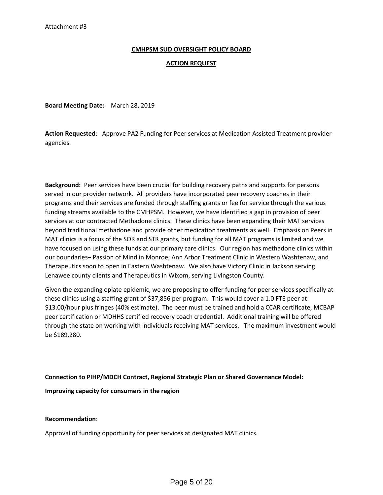# **CMHPSM SUD OVERSIGHT POLICY BOARD**

# **ACTION REQUEST**

**Board Meeting Date:** March 28, 2019

**Action Requested**: Approve PA2 Funding for Peer services at Medication Assisted Treatment provider agencies.

**Background:** Peer services have been crucial for building recovery paths and supports for persons served in our provider network. All providers have incorporated peer recovery coaches in their programs and their services are funded through staffing grants or fee for service through the various funding streams available to the CMHPSM. However, we have identified a gap in provision of peer services at our contracted Methadone clinics. These clinics have been expanding their MAT services beyond traditional methadone and provide other medication treatments as well. Emphasis on Peers in MAT clinics is a focus of the SOR and STR grants, but funding for all MAT programs is limited and we have focused on using these funds at our primary care clinics. Our region has methadone clinics within our boundaries– Passion of Mind in Monroe; Ann Arbor Treatment Clinic in Western Washtenaw, and Therapeutics soon to open in Eastern Washtenaw. We also have Victory Clinic in Jackson serving Lenawee county clients and Therapeutics in Wixom, serving Livingston County.

Given the expanding opiate epidemic, we are proposing to offer funding for peer services specifically at these clinics using a staffing grant of \$37,856 per program. This would cover a 1.0 FTE peer at \$13.00/hour plus fringes (40% estimate). The peer must be trained and hold a CCAR certificate, MCBAP peer certification or MDHHS certified recovery coach credential. Additional training will be offered through the state on working with individuals receiving MAT services. The maximum investment would be \$189,280.

**Connection to PIHP/MDCH Contract, Regional Strategic Plan or Shared Governance Model:**

**Improving capacity for consumers in the region**

# **Recommendation**:

Approval of funding opportunity for peer services at designated MAT clinics.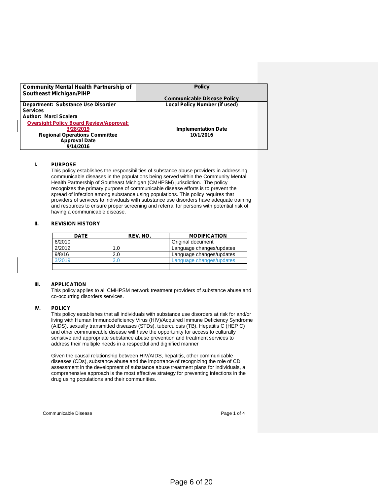| <b>Community Mental Health Partnership of</b><br><b>Southeast Michigan/PIHP</b> | <b>Policy</b>                        |
|---------------------------------------------------------------------------------|--------------------------------------|
|                                                                                 | <b>Communicable Disease Policy</b>   |
| Department: Substance Use Disorder                                              | <b>Local Policy Number (if used)</b> |
| <b>Services</b>                                                                 |                                      |
| Author: Marci Scalera                                                           |                                      |
| <b>Oversight Policy Board Review/Approval:</b>                                  |                                      |
| 3/28/2019                                                                       | <b>Implementation Date</b>           |
| <b>Regional Operations Committee</b>                                            | 10/1/2016                            |
| <b>Approval Date</b>                                                            |                                      |
| 9/14/2016                                                                       |                                      |

#### **I. PURPOSE**

This policy establishes the responsibilities of substance abuse providers in addressing communicable diseases in the populations being served within the Community Mental Health Partnership of Southeast Michigan (CMHPSM) jurisdiction. The policy recognizes the primary purpose of communicable disease efforts is to prevent the spread of infection among substance using populations. This policy requires that providers of services to individuals with substance use disorders have adequate training and resources to ensure proper screening and referral for persons with potential risk of having a communicable disease.

# **II. REVISION HISTORY**

| <b>DATE</b> | REV. NO. | <b>MODIFICATION</b>      |
|-------------|----------|--------------------------|
| 6/2010      |          | Original document        |
| 2/2012      | 0. ا     | Language changes/updates |
| 9/8/16      | 2.0      | Language changes/updates |
| 3/2019      |          | Language changes/updates |
|             |          |                          |

## **III. APPLICATION**

This policy applies to all CMHPSM network treatment providers of substance abuse and co-occurring disorders services.

## **IV. POLICY**

This policy establishes that all individuals with substance use disorders at risk for and/or living with Human Immunodeficiency Virus (HIV)/Acquired Immune Deficiency Syndrome (AIDS), sexually transmitted diseases (STDs), tuberculosis (TB), Hepatitis C (HEP C) and other communicable disease will have the opportunity for access to culturally sensitive and appropriate substance abuse prevention and treatment services to address their multiple needs in a respectful and dignified manner

Given the causal relationship between HIV/AIDS, hepatitis, other communicable diseases (CDs), substance abuse and the importance of recognizing the role of CD assessment in the development of substance abuse treatment plans for individuals, a comprehensive approach is the most effective strategy for preventing infections in the drug using populations and their communities.

Communicable Disease Page 1 of 4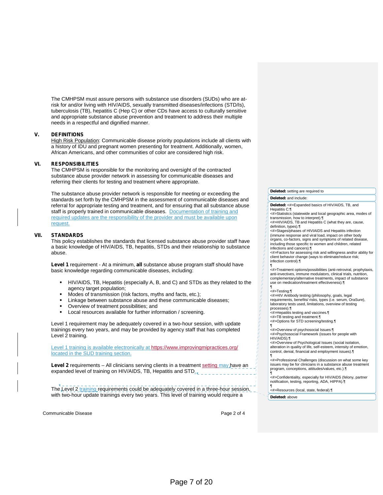The CMHPSM must assure persons with substance use disorders (SUDs) who are atrisk for and/or living with HIV/AIDS, sexually transmitted diseases/infections (STD/Is), tuberculosis (TB), hepatitis C (Hep C) or other CDs have access to culturally sensitive and appropriate substance abuse prevention and treatment to address their multiple needs in a respectful and dignified manner.

## **V. DEFINITIONS**

High Risk Population: Communicable disease priority populations include all clients with a history of IDU and pregnant women presenting for treatment. Additionally, women, African Americans, and other communities of color are considered high risk.

#### **VI. RESPONSIBILITIES**

The CMHPSM is responsible for the monitoring and oversight of the contracted substance abuse provider network in assessing for communicable diseases and referring their clients for testing and treatment where appropriate.

The substance abuse provider network is responsible for meeting or exceeding the standards set forth by the CMHPSM in the assessment of communicable diseases and referral for appropriate testing and treatment, and for ensuring that all substance abuse staff is properly trained in communicable diseases. Documentation of training and required updates are the responsibility of the provider and must be available upon request.

#### **VII. STANDARDS**

This policy establishes the standards that licensed substance abuse provider staff have a basic knowledge of HIV/AIDS, TB, hepatitis, STDs and their relationship to substance abuse.

**Level 1** requirement - At a minimum, **all** substance abuse program staff should have basic knowledge regarding communicable diseases, including:

- HIV/AIDS, TB, Hepatitis (especially A, B, and C) and STDs as they related to the agency target population;
- Modes of transmission (risk factors, myths and facts, etc.);
- Linkage between substance abuse and these communicable diseases;
- Overview of treatment possibilities; and
- Local resources available for further information / screening.

Level 1 requirement may be adequately covered in a two-hour session, with update trainings every two years, and may be provided by agency staff that has completed Level 2 training.

Level 1 training is available electronically at https://www.improvingmipractices.org/ located in the SUD training section.

Level 2 requirements – All clinicians serving clients in a treatment setting may have an expanded level of training on HIV/AIDS, TB, Hepatitis and STD.

The Level 2 training requirements could be adequately covered in a three-hour session, with two-hour update trainings every two years. This level of training would require a

Communicable Disease Page 2 of 4

#### **Deleted:** <#>Expanded basics of HIV/AIDS, TB, and Hepatitis C:¶ <#>Statistics (statewide and local geographic area, modes of transmission, how to interpret).¶ <#>HIV/AIDS, TB and Hepatitis C (what they are, cause, definition, types).¶ <#>Stages/phases of HIVIAIDS and Hepatitis infection (immune response and viral load, impact on other body organs, co-factors, signs and symptoms of related disease, including those specific to women and children, related infections and cancers).¶ <#>Factors for assessing risk and willingness and/or ability for client behavior change (ways to eliminate/reduce risk; infection control).¶ ¶<#>Treatment options/possibilities (anti-retroviral, prophylaxis, anti-invectives, immune modulators, clinical trials, nutrition, complementary/alternative treatments, impact of substance use on medication/treatment effectiveness).¶ ¶<br><#>Testing:¶<br><#>HIV Antibody testing (philosophy, goals, legal requirements, benefits/ risks, types (i.e. serum, OraSure), laboratory tests used, limitations, overview of testing processes).¶ <#>Hepatitis testing and vaccines.¶ <#>TB testing and treatment.¶ <#>Options for STD screening/testing.¶ ¶<#>Overview of psychosocial Issues:¶ <#>Psychosocial Framework (issues for people with HIV/AIDS).¶

**Deleted:** setting are required to **Deleted:** and include:

<#>Overview of Psychological Issues (social isolation, alteration in quality of life, self-esteem, intensity of emotion, control, denial, financial and employment issues).¶

¶<#>Professional Challenges (discussion on what some key issues may be for clinicians in a substance abuse treatment program, conceptions, attitudes/values, etc.).¶

¶<#>Confidentiality, especially for HIV/AIDS (felony, partner notification, testing, reporting, ADA, HIPPA).¶

¶<#>Resources (local, state, federal).¶

**Deleted:** above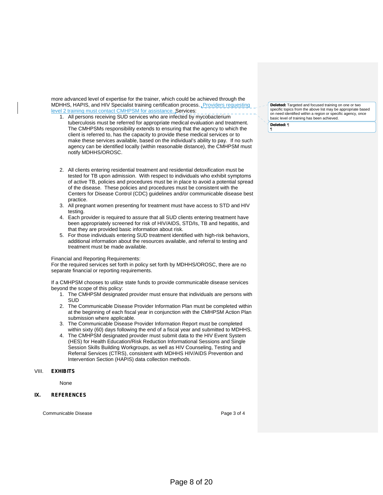more advanced level of expertise for the trainer, which could be achieved through the MDHHS, HAPIS, and HIV Specialist training certification process. Providers requesting level 2 training must contact CMHPSM for assistance. Services:

1. All persons receiving SUD services who are infected by mycobacterium tuberculosis must be referred for appropriate medical evaluation and treatment. The CMHPSMs responsibility extends to ensuring that the agency to which the  $\mathbf{\bar{r}}$ client is referred to, has the capacity to provide these medical services or to make these services available, based on the individual's ability to pay. If no such agency can be identified locally (within reasonable distance), the CMHPSM must notify MDHHS/OROSC.

- 2. All clients entering residential treatment and residential detoxification must be tested for TB upon admission. With respect to individuals who exhibit symptoms of active TB, policies and procedures must be in place to avoid a potential spread of the disease. These policies and procedures must be consistent with the Centers for Disease Control (CDC) guidelines and/or communicable disease best practice.
- 3. All pregnant women presenting for treatment must have access to STD and HIV testing.
- 4. Each provider is required to assure that all SUD clients entering treatment have been appropriately screened for risk of HIV/AIDS, STD/Is, TB and hepatitis, and that they are provided basic information about risk.
- 5. For those individuals entering SUD treatment identified with high-risk behaviors, additional information about the resources available, and referral to testing and treatment must be made available.

#### Financial and Reporting Requirements:

For the required services set forth in policy set forth by MDHHS/OROSC, there are no separate financial or reporting requirements.

If a CMHPSM chooses to utilize state funds to provide communicable disease services beyond the scope of this policy:

- 1. The CMHPSM designated provider must ensure that individuals are persons with SUD
- 2. The Communicable Disease Provider Information Plan must be completed within at the beginning of each fiscal year in conjunction with the CMHPSM Action Plan submission where applicable.
- 3. The Communicable Disease Provider Information Report must be completed within sixty (60) days following the end of a fiscal year and submitted to MDHHS.
- 4. The CMHPSM designated provider must submit data to the HIV Event System (HES) for Health Education/Risk Reduction Informational Sessions and Single Session Skills Building Workgroups, as well as HIV Counseling, Testing and Referral Services (CTRS), consistent with MDHHS HIV/AIDS Prevention and Intervention Section (HAPIS) data collection methods.

#### VIII. **EXHIBITS**

None

## **IX. REFERENCES**

Communicable Disease Page 3 of 4

**Deleted:** Targeted and focused training on one or two specific topics from the above list may be appropriate based on need identified within a region or specific agency, once basic level of training has been achieved.

**Deleted:** ¶ ¶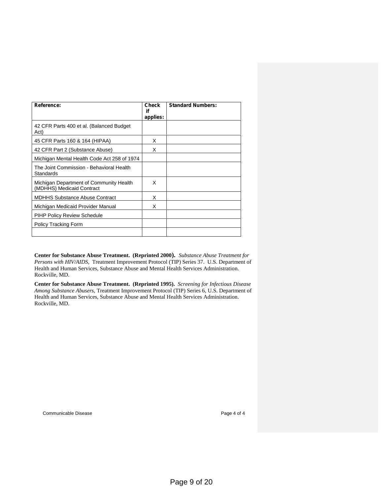| Reference:                                                           | Check<br>if<br>applies: | <b>Standard Numbers:</b> |
|----------------------------------------------------------------------|-------------------------|--------------------------|
| 42 CFR Parts 400 et al. (Balanced Budget)<br>Act)                    |                         |                          |
| 45 CFR Parts 160 & 164 (HIPAA)                                       | X                       |                          |
| 42 CFR Part 2 (Substance Abuse)                                      | X                       |                          |
| Michigan Mental Health Code Act 258 of 1974                          |                         |                          |
| The Joint Commission - Behavioral Health<br><b>Standards</b>         |                         |                          |
| Michigan Department of Community Health<br>(MDHHS) Medicaid Contract | X                       |                          |
| <b>MDHHS Substance Abuse Contract</b>                                | X                       |                          |
| Michigan Medicaid Provider Manual                                    | X                       |                          |
| <b>PIHP Policy Review Schedule</b>                                   |                         |                          |
| Policy Tracking Form                                                 |                         |                          |
|                                                                      |                         |                          |

**Center for Substance Abuse Treatment. (Reprinted 2000).** *Substance Abuse Treatment for Persons with HIV/AIDS,* Treatment Improvement Protocol (TIP) Series 37. U.S. Department of Health and Human Services, Substance Abuse and Mental Health Services Administration. Rockville, MD.

**Center for Substance Abuse Treatment. (Reprinted 1995).** *Screening for Infectious Disease Among Substance Abusers,* Treatment Improvement Protocol (TIP) Series 6, U.S. Department of Health and Human Services, Substance Abuse and Mental Health Services Administration. Rockville, MD.

Communicable Disease **Page 4 of 4**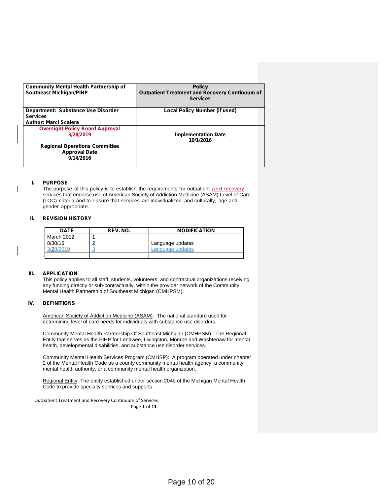| <b>Community Mental Health Partnership of</b><br><b>Southeast Michigan/PIHP</b>       | <b>Policy</b><br><b>Outpatient Treatment and Recovery Continuum of</b><br><b>Services</b> |
|---------------------------------------------------------------------------------------|-------------------------------------------------------------------------------------------|
| Department: Substance Use Disorder<br><b>Services</b><br><b>Author: Marci Scalera</b> | Local Policy Number (if used)                                                             |
| <b>Oversight Policy Board Approval</b>                                                |                                                                                           |
| 3/28/2019                                                                             | <b>Implementation Date</b><br>10/1/2016                                                   |
| <b>Regional Operations Committee</b><br><b>Approval Date</b><br>9/14/2016             |                                                                                           |

## **I. PURPOSE**

The purpose of this policy is to establish the requirements for outpatient and recovery services that endorse use of American Society of Addiction Medicine (ASAM) Level of Care (LOC) criteria and to ensure that services are individualized and culturally, age and gender appropriate.

## **II. REVISION HISTORY**

| <b>DATE</b> | REV. NO. | <b>MODIFICATION</b> |
|-------------|----------|---------------------|
| March 2012  |          |                     |
| 8/30/16     |          | Language updates    |
| 3/28/2010   |          | Language updates    |
|             |          |                     |

## **III. APPLICATION**

This policy applies to all staff, students, volunteers, and contractual organizations receiving any funding directly or sub-contractually, within the provider network of the Community Mental Health Partnership of Southeast Michigan (CMHPSM).

## **IV. DEFINITIONS**

American Society of Addiction Medicine (ASAM): The national standard used for determining level of care needs for individuals with substance use disorders.

Community Mental Health Partnership Of Southeast Michigan (CMHPSM): The Regional Entity that serves as the PIHP for Lenawee, Livingston, Monroe and Washtenaw for mental health, developmental disabilities, and substance use disorder services.

Community Mental Health Services Program (CMHSP): A program operated under chapter 2 of the Mental Health Code as a county community mental health agency, a community mental health authority, or a community mental health organization.

Regional Entity: The entity established under section 204b of the Michigan Mental Health Code to provide specialty services and supports.

Outpatient Treatment and Recovery Continuum of Services Page **1** of **11**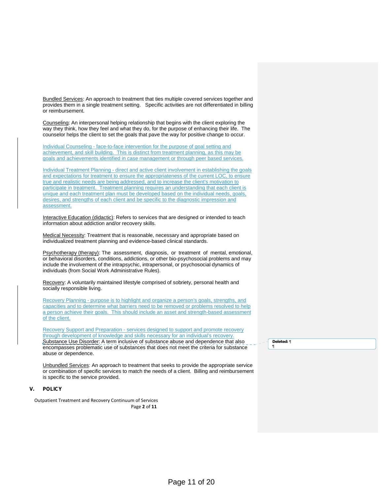Bundled Services: An approach to treatment that ties multiple covered services together and provides them in a single treatment setting. Specific activities are not differentiated in billing or reimbursement.

Counseling: An interpersonal helping relationship that begins with the client exploring the way they think, how they feel and what they do, for the purpose of enhancing their life. The counselor helps the client to set the goals that pave the way for positive change to occur.

Individual Counseling - face-to-face intervention for the purpose of goal setting and achievement, and skill building. This is distinct from treatment planning, as this may be goals and achievements identified in case management or through peer based services.

Individual Treatment Planning - direct and active client involvement in establishing the goals and expectations for treatment to ensure the appropriateness of the current LOC, to ensure true and realistic needs are being addressed, and to increase the client's motivation to participate in treatment. Treatment planning requires an understanding that each client is unique and each treatment plan must be developed based on the individual needs, goals, desires, and strengths of each client and be specific to the diagnostic impression and assessment.

Interactive Education (didactic): Refers to services that are designed or intended to teach information about addiction and/or recovery skills.

Medical Necessity: Treatment that is reasonable, necessary and appropriate based on individualized treatment planning and evidence-based clinical standards.

Psychotherapy (therapy): The assessment, diagnosis, or treatment of mental, emotional, or behavioral disorders, conditions, addictions, or other bio-psychosocial problems and may include the involvement of the intrapsychic, intrapersonal, or psychosocial dynamics of individuals (from Social Work Administrative Rules).

Recovery: A voluntarily maintained lifestyle comprised of sobriety, personal health and socially responsible living.

Recovery Planning - purpose is to highlight and organize a person's goals, strengths, and capacities and to determine what barriers need to be removed or problems resolved to help a person achieve their goals. This should include an asset and strength-based assessment of the client.

Recovery Support and Preparation - services designed to support and promote recovery through development of knowledge and skills necessary for an individual's recovery. Substance Use Disorder: A term inclusive of substance abuse and dependence that also encompasses problematic use of substances that does not meet the criteria for substance abuse or dependence.

Unbundled Services: An approach to treatment that seeks to provide the appropriate service or combination of specific services to match the needs of a client. Billing and reimbursement is specific to the service provided.

## **V. POLICY**

Outpatient Treatment and Recovery Continuum of Services Page **2** of **11**

**Deleted:** ¶ ¶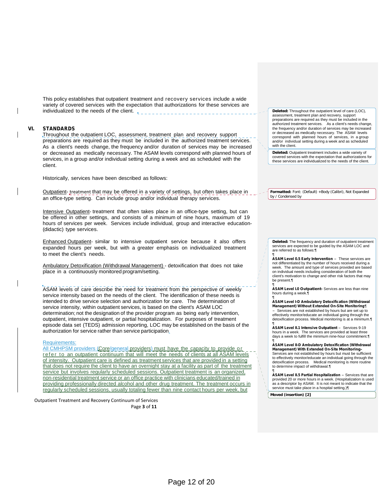This policy establishes that outpatient treatment and recovery services include a wide variety of covered services with the expectation that authorizations for these services are individualized to the needs of the client.

## **VI. STANDARDS**

Throughout the outpatient LOC, assessment, treatment plan and recovery support preparations are required as they must be included in the authorized treatment services. As a client's needs change, the frequency and/or duration of services may be increased or decreased as medically necessary. The ASAM levels correspond with planned hours of services, in a group and/or individual setting during a week and as scheduled with the client.

Historically, services have been described as follows:

Outpatient- treatment that may be offered in a variety of settings, but often takes place in an office-type setting. Can include group and/or individual therapy services.

Intensive Outpatient- treatment that often takes place in an office-type setting, but can be offered in other settings, and consists of a minimum of nine hours, maximum of 19 hours of services per week. Services include individual, group and interactive education (didactic) type services.

Enhanced Outpatient- similar to intensive outpatient service because it also offers expanded hours per week, but with a greater emphasis on individualized treatment to meet the client's needs.

Ambulatory Detoxification (Withdrawal Management) - detoxification that does not take place in a continuously monitored program/setting.

ASAM levels of care describe the need for treatment from the perspective of weekly service intensity based on the needs of the client. The identification of these needs is intended to drive service selection and authorization for care. The determination of service intensity, within outpatient services, is based on the client's ASAM LOC determination; not the designation of the provider program as being early intervention, outpatient, intensive outpatient, or partial hospitalization. For purposes of treatment episode data set (TEDS) admission reporting, LOC may be established on the basis of the authorization for service rather than service participation. service intensity, within outpatient services, is based on the client's ASAM LOC<br>determination; not the designation of the provider program as being early intervention,<br>outpatient, intensive outpatient, or partial hospital

Requirements:<br>All CMHPSM providers (Core/general providers) must have the capacity to provide or determination; not the designation of the provider program as being early intervention,<br>
outpatient, intensive outpatient, or partial hospitalization. For purposes of treatment<br>
episode data set (TEDS) admission reporting, of intensity. Outpatient care is defined as treatment services that are provided in a setting that does not require the client to have an overnight stay at a facility as part of the treatment service but involves regularly scheduled sessions. Outpatient treatment is an organized, non-residential treatment service or an office practice with clinicians educated/trained in providing professionally directed alcohol and other drug treatment. The treatment occurs in regularly scheduled sessions, usually totaling fewer than nine contact hours per week, but

Outpatient Treatment and Recovery Continuum of Services Page **3** of **11** **Deleted:** Throughout the outpatient level of care (LOC), assessment, treatment plan and recovery, support preparations are required as they must be included in the authorized treatment services. As a client's needs change, the frequency and/or duration of services may be increased or decreased as medically necessary. The ASAM levels correspond with planned hours of services, in a group and/or individual setting during a week and as scheduled with the client.

**Deleted:** Outpatient treatment includes a wide variety of covered services with the expectation that authorizations for these services are individualized to the needs of the client.

**Formatted:** Font: (Default) +Body (Calibri), Not Expanded by / Condensed by

**Deleted:** The frequency and duration of outpatient treatment services are expected to be guided by the ASAM LOC and are referred to as follows:¶

¶ **ASAM Level 0.5 Early Intervention** - These services are not differentiated by the number of hours received during a week. The amount and type of services provided are based on individual needs including consideration of both the client's motivation to change and other risk factors that may be present.¶

¶ **ASAM Level I.0 Outpatient-** Services are less than nine hours during a week.¶

¶ **ASAM Level I-D Ambulatory Detoxification (Withdrawal Management) Without Extended On-Site Monitoring**¶ Services are not established by hours but are set up to effectively monitor/educate an individual going through the detoxification process. Medical monitoring is at a minimum.¶

¶ **ASAM Level II.1 Intensive Outpatient** - Services 9-19 hours in a week. The services are provided at least three days a week to fulfill the minimum nine-hour commitment.¶

¶ **ASAM Level II-D Ambulatory Detoxification (Withdrawal Management) With Extended On-Site Monitoring-**Services are not established by hours but must be sufficient to effectively monitor/educate an individual going through the detoxification process. Medical monitoring is more routine to determine impact of withdrawal.¶

¶ **ASAM Level II.5 Partial Hospitalization** - Services that are provided 20 or more hours in a week.(Hospitalization is used as a descriptor by ASAM. It is not meant to indicate that the service must take place in a hospital setting.)¶

**Moved (insertion) [2]**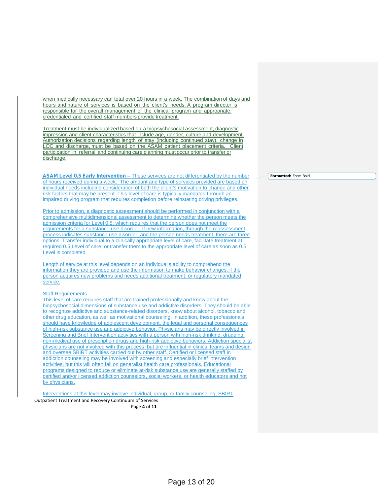when medically necessary can total over 20 hours in a week. The combination of days and hours and nature of services is based on the client's needs. A program director is responsible for the overall management of the clinical program and appropriate, credentialed and certified staff members provide treatment.

Treatment must be individualized based on a biopsychosocial assessment, diagnostic impression and client characteristics that include age, gender, culture and development. Authorization decisions regarding length of stay (including continued stay), change in LOC and discharge, must be based on the ASAM patient placement criteria. Client participation in referral and continuing care planning must occur prior to transfer or discharge.

**ASAM Level 0.5 Early Intervention** – These services are not differentiated by the number of hours received during a week. The amount and type of services provided are based on individual needs including consideration of both the client's motivation to change and other risk factors that may be present. This level of care is typically mandated through an impaired driving program that requires completion before reinstating driving privileges.

Prior to admission, a diagnostic assessment should be performed in conjunction with a comprehensive multidimensional assessment to determine whether the person meets the admission criteria for Level 0.5, which requires that the person does not meet the requirements for a substance use disorder. If new information, through the reassessment process indicates substance use disorder, and the person needs treatment, there are three options. Transfer individual to a clinically appropriate level of care, facilitate treatment at required 0.5 Level of care, or transfer them to the appropriate level of care as soon as 0.5 Level is completed.

Length of service at this level depends on an individual's ability to comprehend the information they are provided and use the information to make behavior changes, if the person acquires new problems and needs additional treatment, or regulatory mandated service.

#### Staff Requirements

This level of care requires staff that are trained professionally and know about the biopsychosocial dimensions of substance use and addictive disorders. They should be able to recognize addictive and substance-related disorders, know about alcohol, tobacco and other drug education, as well as motivational counseling. In addition, these professionals should have knowledge of adolescent development, the legal and personal consequences of high-risk substance use and addictive behavior. Physicians may be directly involved in Screening and Brief Intervention activities with a person with high-risk drinking, drugging, non-medical use of prescription drugs and high-risk addictive behaviors. Addiction specialist physicians are not involved with this process, but are influential in clinical teams and design and oversee SBIRT activities carried out by other staff. Certified or licensed staff in addiction counseling may be involved with screening and especially brief intervention activities, but this will often fall on generalist health care professionals. Educational programs designed to reduce or eliminate at-risk substance use are generally staffed by certified and/or licensed addiction counselors, social workers, or health educators and not by physicians.

Outpatient Treatment and Recovery Continuum of Services Page **4** of **11** Interventions at this level may involve individual, group, or family counseling, SBIRT **Formatted:** Font: Bold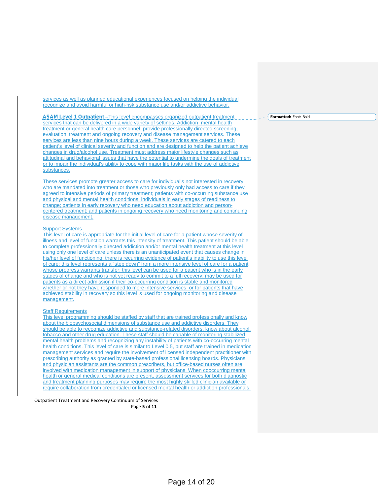services as well as planned educational experiences focused on helping the individual recognize and avoid harmful or high-risk substance use and/or addictive behavior.

**ASAM Level 1 Outpatient** –This level encompasses organized outpatient treatment services that can be delivered in a wide variety of settings. Addiction, mental health treatment or general health care personnel, provide professionally directed screening, evaluation, treatment and ongoing recovery and disease management services. These services are less than nine hours during a week. These services are catered to each patient's level of clinical severity and function and are designed to help the patient achieve changes in drug/alcohol use. Treatment must address major lifestyle changes such as attitudinal and behavioral issues that have the potential to undermine the goals of treatment or to impair the individual's ability to cope with major life tasks with the use of addictive substances.

These services promote greater access to care for individual's not interested in recovery who are mandated into treatment or those who previously only had access to care if they agreed to intensive periods of primary treatment; patients with co-occurring substance use and physical and mental health conditions; individuals in early stages of readiness to change; patients in early recovery who need education about addiction and person centered treatment; and patients in ongoing recovery who need monitoring and continuing disease management.

#### **Support Systems**

This level of care is appropriate for the initial level of care for a patient whose severity of illness and level of function warrants this intensity of treatment. This patient should be able to complete professionally directed addiction and/or mental health treatment at this level using only one level of care unless there is an unanticipated event that causes change in his/her level of functioning; there is recurring evidence of patient's inability to use this level of care; this level represents a "step down" from a more intensive level of care for a patient whose progress warrants transfer; this level can be used for a patient who is in the early stages of change and who is not yet ready to commit to a full recovery; may be used for patients as a direct admission if their co-occurring condition is stable and monitored whether or not they have responded to more intensive services; or for patients that have achieved stability in recovery so this level is used for ongoing monitoring and disease management.

#### **Staff Requirements**

This level programming should be staffed by staff that are trained professionally and know about the biopsychosocial dimensions of substance use and addictive disorders. They should be able to recognize addictive and substance-related disorders, know about alcohol, tobacco and other drug education. These staff should be capable of monitoring stabilized mental health problems and recognizing any instability of patients with co-occurring mental health conditions. This level of care is similar to Level 0.5, but staff are trained in medication management services and require the involvement of licensed independent practitioner with prescribing authority as granted by state-based professional licensing boards. Physicians and physician assistants are the common prescribers, but office-based nurses often are involved with medication management in support of physicians. When cooccurring mental health or general medical conditions are present, assessment services for both diagnostic and treatment planning purposes may require the most highly skilled clinician available or require collaboration from credentialed or licensed mental health or addiction professionals.

Outpatient Treatment and Recovery Continuum of Services Page **5** of **11**

**Formatted:** Font: Bold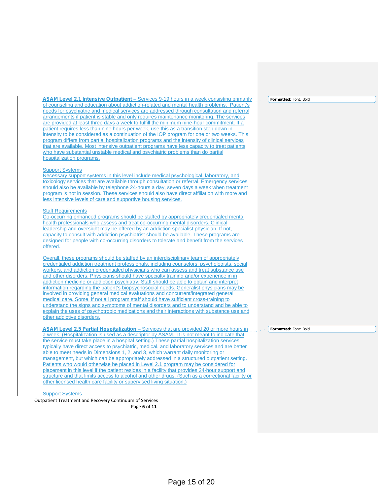**Formatted:** Font: Bold

**ASAM Level 2.1 Intensive Outpatient** – Services 9-19 hours in a week consisting primarily of counseling and education about addiction-related and mental health problems. Patient's needs for psychiatric and medical services are addressed through consultation and referral arrangements if patient is stable and only requires maintenance monitoring. The services are provided at least three days a week to fulfill the minimum nine-hour commitment. If a patient requires less than nine hours per week, use this as a transition step down in intensity to be considered as a continuation of the IOP program for one or two weeks. This program differs from partial hospitalization programs and the intensity of clinical services that are available. Most intensive outpatient programs have less capacity to treat patients who have substantial unstable medical and psychiatric problems than do partial hospitalization programs.

#### Support Systems

Necessary support systems in this level include medical psychological, laboratory, and toxicology services that are available through consultation or referral. Emergency services should also be available by telephone 24-hours a day, seven days a week when treatment program is not in session. These services should also have direct affiliation with more and less intensive levels of care and supportive housing services.

#### Staff Requirements

Co-occurring enhanced programs should be staffed by appropriately credentialed mental health professionals who assess and treat co-occurring mental disorders. Clinical leadership and oversight may be offered by an addiction specialist physician. If not, capacity to consult with addiction psychiatrist should be available. These programs are designed for people with co-occurring disorders to tolerate and benefit from the services offered.

Overall, these programs should be staffed by an interdisciplinary team of appropriately credentialed addiction treatment professionals, including counselors, psychologists, social workers, and addiction credentialed physicians who can assess and treat substance use and other disorders. Physicians should have specialty training and/or experience in in addiction medicine or addiction psychiatry. Staff should be able to obtain and interpret information regarding the patient's biopsychosocial needs. Generalist physicians may be involved in providing general medical evaluations and concurrent/integrated general medical care. Some, if not all program staff should have sufficient cross-training to understand the signs and symptoms of mental disorders and to understand and be able to explain the uses of psychotropic medications and their interactions with substance use and other addictive disorders.

**ASAM Level 2.5 Partial Hospitalization** – Services that are provided 20 or more hours in a week. (Hospitalization is used as a descriptor by ASAM. It is not meant to indicate that the service must take place in a hospital setting.) These partial hospitalization services typically have direct access to psychiatric, medical, and laboratory services and are better able to meet needs in Dimensions 1, 2, and 3, which warrant daily monitoring or management, but which can be appropriately addressed in a structured outpatient setting. Patients who would otherwise be placed in Level 2.1 program may be considered for placement in this level if the patient resides in a facility that provides 24-hour support and structure and that limits access to alcohol and other drugs. (Such as a correctional facility or other licensed health care facility or supervised living situation.)

#### **Support Systems**

Outpatient Treatment and Recovery Continuum of Services Page **6** of **11**

**Formatted:** Font: Bold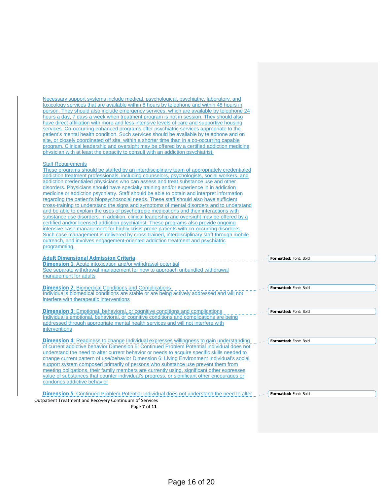| Necessary support systems include medical, psychological, psychiatric, laboratory, and                                                                                              |                       |
|-------------------------------------------------------------------------------------------------------------------------------------------------------------------------------------|-----------------------|
| toxicology services that are available within 8 hours by telephone and within 48 hours in                                                                                           |                       |
| person. They should also include emergency services, which are available by telephone 24<br>hours a day, 7 days a week when treatment program is not in session. They should also   |                       |
| have direct affiliation with more and less intensive levels of care and supportive housing                                                                                          |                       |
| services. Co-occurring enhanced programs offer psychiatric services appropriate to the                                                                                              |                       |
| patient's mental health condition. Such services should be available by telephone and on                                                                                            |                       |
| site, or closely coordinated off site, within a shorter time than in a co-occurring capable                                                                                         |                       |
| program. Clinical leadership and oversight may be offered by a certified addiction medicine                                                                                         |                       |
| physician with at least the capacity to consult with an addiction psychiatrist.                                                                                                     |                       |
| <b>Staff Requirements</b>                                                                                                                                                           |                       |
| These programs should be staffed by an interdisciplinary team of appropriately credentialed                                                                                         |                       |
| addiction treatment professionals, including counselors, psychologists, social workers, and                                                                                         |                       |
| addiction credentialed physicians who can assess and treat substance use and other                                                                                                  |                       |
| disorders. Physicians should have specialty training and/or experience in in addiction                                                                                              |                       |
| medicine or addiction psychiatry. Staff should be able to obtain and interpret information                                                                                          |                       |
| regarding the patient's biopsychosocial needs. These staff should also have sufficient<br>cross-training to understand the signs and symptoms of mental disorders and to understand |                       |
| and be able to explain the uses of psychotropic medications and their interactions with                                                                                             |                       |
| substance use disorders. In addition, clinical leadership and oversight may be offered by a                                                                                         |                       |
| certified and/or licensed addiction psychiatrist. These programs also provide ongoing                                                                                               |                       |
| intensive case management for highly crisis-prone patients with co-occurring disorders.                                                                                             |                       |
| Such case management is delivered by cross-trained, interdisciplinary staff through mobile                                                                                          |                       |
| outreach, and involves engagement-oriented addiction treatment and psychiatric                                                                                                      |                       |
| programming.                                                                                                                                                                        |                       |
| <b>Adult Dimensional Admission Criteria</b>                                                                                                                                         | Formatted: Font: Bold |
| <b>Dimension 1:</b> Acute intoxication and/or withdrawal potential                                                                                                                  |                       |
| See separate withdrawal management for how to approach unbundled withdrawal                                                                                                         |                       |
| management for adults                                                                                                                                                               |                       |
| <b>Dimension 2: Biomedical Conditions and Complications</b>                                                                                                                         | Formatted: Font: Bold |
| Individual's biomedical conditions are stable or are being actively addressed and will not                                                                                          |                       |
| interfere with therapeutic interventions                                                                                                                                            |                       |
| <b>Dimension 3:</b> Emotional, behavioral, or cognitive conditions and complications                                                                                                | Formatted: Font: Bold |
| Individual's emotional, behavioral, or cognitive conditions and complications are being                                                                                             |                       |
| addressed through appropriate mental health services and will not interfere with                                                                                                    |                       |
| interventions                                                                                                                                                                       |                       |
| <b>Dimension 4:</b> Readiness to change Individual expresses willingness to gain understanding                                                                                      | Formatted: Font: Bold |
| of current addictive behavior Dimension 5: Continued Problem Potential Individual does not                                                                                          |                       |
| understand the need to alter current behavior or needs to acquire specific skills needed to                                                                                         |                       |
| change current pattern of use/behavior Dimension 6: Living Environment Individual's social                                                                                          |                       |
| support system composed primarily of persons who substance use prevent them from<br>meeting obligations, their family members are currently using, significant other expresses      |                       |
| value of substances that counter individual's progress, or significant other encourages or                                                                                          |                       |
| condones addictive behavior                                                                                                                                                         |                       |
| <b>Dimension 5:</b> Continued Problem Potential Individual does not understand the need to alter                                                                                    |                       |
| Outpatient Treatment and Recovery Continuum of Services                                                                                                                             | Formatted: Font: Bold |
| Page 7 of 11                                                                                                                                                                        |                       |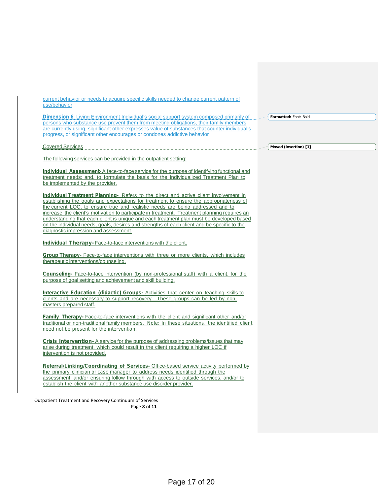| current behavior or needs to acquire specific skills needed to change current pattern of<br>use/behavior                                                                                                                                                                                                                                                                                                                                                                                                                                                                                             |                       |
|------------------------------------------------------------------------------------------------------------------------------------------------------------------------------------------------------------------------------------------------------------------------------------------------------------------------------------------------------------------------------------------------------------------------------------------------------------------------------------------------------------------------------------------------------------------------------------------------------|-----------------------|
| <b>Dimension 6:</b> Living Environment Individual's social support system composed primarily of<br>persons who substance use prevent them from meeting obligations, their family members<br>are currently using, significant other expresses value of substances that counter individual's<br>progress, or significant other encourages or condones addictive behavior                                                                                                                                                                                                                               | Formatted: Font: Bold |
| <b>Covered Services</b>                                                                                                                                                                                                                                                                                                                                                                                                                                                                                                                                                                              | Moved (insertion) [1] |
| The following services can be provided in the outpatient setting:                                                                                                                                                                                                                                                                                                                                                                                                                                                                                                                                    |                       |
| <b>Individual Assessment-</b> A face-to-face service for the purpose of identifying functional and<br>treatment needs: and, to formulate the basis for the Individualized Treatment Plan to<br>be implemented by the provider.                                                                                                                                                                                                                                                                                                                                                                       |                       |
| Individual Treatment Planning- Refers to the direct and active client involvement in<br>establishing the goals and expectations for treatment to ensure the appropriateness of<br>the current LOC, to ensure true and realistic needs are being addressed and to<br>increase the client's motivation to participate in treatment. Treatment planning requires an<br>understanding that each client is unique and each treatment plan must be developed based<br>on the individual needs, goals, desires and strengths of each client and be specific to the<br>diagnostic impression and assessment. |                       |
| Individual Therapy-Face-to-face interventions with the client.                                                                                                                                                                                                                                                                                                                                                                                                                                                                                                                                       |                       |
| <b>Group Therapy-</b> Face-to-face interventions with three or more clients, which includes<br>therapeutic interventions/counseling.                                                                                                                                                                                                                                                                                                                                                                                                                                                                 |                       |
| <b>Counseling-</b> Face-to-face intervention (by non-professional staff) with a client, for the<br>purpose of goal setting and achievement and skill building.                                                                                                                                                                                                                                                                                                                                                                                                                                       |                       |
| <b>Interactive Education (didactic) Groups-</b> Activities that center on teaching skills to<br>clients and are necessary to support recovery. These groups can be led by non-<br>masters prepared staff.                                                                                                                                                                                                                                                                                                                                                                                            |                       |
| <b>Family Therapy-</b> Face-to-face interventions with the client and significant other and/or<br>traditional or non-traditional family members. Note: In these situations, the identified client<br>need not be present for the intervention.                                                                                                                                                                                                                                                                                                                                                       |                       |
| <b>Crisis Intervention-</b> A service for the purpose of addressing problems/issues that may<br>arise during treatment, which could result in the client requiring a higher LOC if<br>intervention is not provided.                                                                                                                                                                                                                                                                                                                                                                                  |                       |
| Referral/Linking/Coordinating of Services-Office-based service activity performed by<br>the primary clinician or case manager to address needs identified through the<br>assessment, and/or ensuring follow through with access to outside services, and/or to<br>establish the client with another substance use disorder provider.                                                                                                                                                                                                                                                                 |                       |
| Outpatient Treatment and Recovery Continuum of Services<br>Page 8 of 11                                                                                                                                                                                                                                                                                                                                                                                                                                                                                                                              |                       |
|                                                                                                                                                                                                                                                                                                                                                                                                                                                                                                                                                                                                      |                       |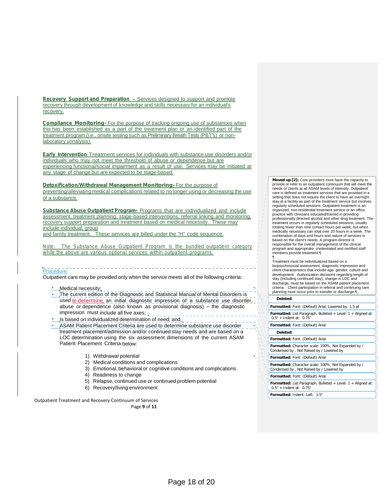**Recovery Support and Preparation** - Services designed to support and promote recovery through development of knowledge and skills necessary for an individual's recovery.

**Compliance Monitoring-** For the purpose of tracking ongoing use of substances when this has been established as a part of the treatment plan or an identified part of the treatment program (i.e., onsite testing such as Preliminary Breath Tests (PBT's) or nonlaboratory urinalysis).

**Early Intervention**-Treatment services for individuals with substance use disorders and/or individuals who may not meet the threshold of abuse or dependence but are experiencing functional/social impairment as a result of use. Services may be initiated at any stage of change but are expected to be stage-based.

**Detoxification/Withdrawal Management Monitoring-** For the purpose of preventing/alleviating medical complications related to no longer using or decreasing the use of a substance.

**Substance Abuse Outpatient Program-** Programs that are individualized and include assessment, treatment planning, stage-based interventions, referral linking and monitoring, recovery support preparation and treatment based on medical necessity. These may include individual, group

and family treatment. These services are billed under the "H" code sequence.

*Note:* **Note:** *Note: The Substance Abuse Outpatient Program is the bundled outpatient category i esponsible for the overall management of the clinical structure of the clinical structure <i>is the while the above are various optional services within outpatient programs.*

## Procedure:

Outpatient care may be provided only when the service meets all of the following criteria:

- Medical necessity;
- The current edition of the Diagnostic and Statistical Manual of Mental Disorders is used to determine, an initial diagnostic impression of a substance use disorder, abuse or dependence (also known as provisional diagnosis)  $-$  the diagnostic impression must include all five axes;  $\mathcal{L}_{\mathcal{L}^{\mathcal{L}}}\mathcal{L}_{\mathcal{L}^{\mathcal{L}}}\mathcal{L}_{\mathcal{L}^{\mathcal{L}}}\mathcal{L}_{\mathcal{L}^{\mathcal{L}}}$

- Is based on individualized determination of need; and,
- ASAM Patient Placement Criteria are used to determine substance use disorder treatment placement/admission and/or continued stay needs and are based on a LOC determination using the six assessment dimensions of the current ASAM Patient Placement Criteria below:
	- 1) Withdrawal potential
	- 2) Medical conditions and complications
	- 3) Emotional, behavioral or cognitive conditions and complications
	- 4) Readiness to change
	- 5) Relapse, continued use or continued problem potential
	- 6) Recovery/living environment

Outpatient Treatment and Recovery Continuum of Services Page **9** of **11**

**Moved up [2]:** Core providers must have the capacity to provide or refer to an outpatient continuum that will meet the needs of clients at all ASAM levels of intensity. Outpatient care is defined as treatment services that are provided in a setting that does not require the client to have an overnight stay at a facility as part of the treatment service but involves regularly scheduled sessions. Outpatient treatment is an organized, non-residential treatment service or an office practice with clinicians educated/trained in providing professionally directed alcohol and other drug treatment. The treatment occurs in regularly scheduled sessions, usually totaling fewer than nine contact hours perweek, but when medically necessary can total over 20 hours in a week. The combination of days and hours and nature of services is based on the client's needs. A program director is program and appropriate, credentialed and certified staff members provide treatment.¶

Treatment must be individualized based on a biopsychosocial assessment, diagnostic impression and client characteristics that include age, gender, culture and development. Authorization decisions regarding length of stay (including continued stay), change in LOC and discharge, must be based on the ASAM patient placement reprient criteria.<br>Criteria. Client participation in referral and continuing care planning must occur prior to transfer or discharge.¶

# **Deleted:**

| Formatted: Font: (Default) Arial, Lowered by 1.5 pt                                             |
|-------------------------------------------------------------------------------------------------|
| Formatted: List Paragraph, Bulleted + Level: 1 + Aligned at:<br>$0.5" +$ Indent at: $0.75"$     |
| Formatted: Font: (Default) Arial                                                                |
| Deleted:                                                                                        |
| Formatted: Font: (Default) Arial                                                                |
| Formatted: Character scale: 100%, Not Expanded by /<br>Condensed by, Not Raised by / Lowered by |
| Formatted: Font: (Default) Arial                                                                |

- **Formatted:** Character scale: 100%, Not Expanded by /
- Condensed by , Not Raised by / Lowered by
- **Formatted:** Font: (Default) Arial
- **Formatted:** List Paragraph, Bulleted + Level: 1 + Aligned at: 0.5" + Indent at: 0.75"
- **Formatted:** Indent: Left: 1.5"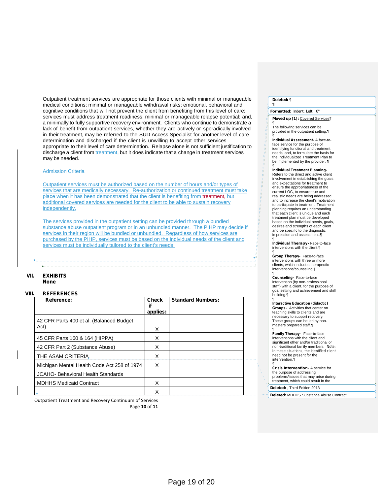Outpatient treatment services are appropriate for those clients with minimal or manageable medical conditions; minimal or manageable withdrawal risks; emotional, behavioral and cognitive conditions that will not prevent the client from benefiting from this level of care; services must address treatment readiness; minimal or manageable relapse potential; and, a minimally to fully supportive recovery environment. Clients who continue to demonstrate a lack of benefit from outpatient services, whether they are actively or sporadically involved in their treatment, may be referred to the SUD Access Specialist for another level of care determination and discharged if the client is unwilling to accept other services appropriate to their level of care determination. Relapse alone is not sufficient justification to discharge a client from treatment, but it does indicate that a change in treatment services may be needed.

#### **Admission Criteria**

Outpatient services must be authorized based on the number of hours and/or types of services that are medically necessary. Re-authorization or continued treatment must take place when it has been demonstrated that the client is benefiting from treatment, but additional covered services are needed for the client to be able to sustain recovery independently.

The services provided in the outpatient setting can be provided through a bundled substance abuse outpatient program or in an unbundled manner. The PIHP may decide if services in their region will be bundled or unbundled. Regardless of how services are purchased by the PIHP, services must be based on the individual needs of the client and services must be individually tailored to the client's needs.

#### **VII. EXHIBITS None**

#### **VIII. REFERENCES**

| Reference:                                        | <b>Check</b><br>if<br>applies: | <b>Standard Numbers:</b> |  |
|---------------------------------------------------|--------------------------------|--------------------------|--|
| 42 CFR Parts 400 et al. (Balanced Budget)<br>Act) | X                              |                          |  |
| 45 CFR Parts 160 & 164 (HIPPA)                    | X                              |                          |  |
| 42 CFR Part 2 (Substance Abuse)                   | X                              |                          |  |
| THE ASAM CRITERIA.                                | X                              |                          |  |
| Michigan Mental Health Code Act 258 of 1974       | X                              |                          |  |
| <b>JCAHO- Behavioral Health Standards</b>         |                                |                          |  |
| <b>MDHHS Medicaid Contract</b>                    | X                              |                          |  |
|                                                   | X                              |                          |  |

Outpatient Treatment and Recovery Continuum of Services Page **10** of **11**

#### **Deleted:** ¶ ¶

前加班班

# **Formatted:** Indent: Left: 0" **Moved up [1]:** Covered Services¶ ¶ The following services can be provided in the outpatient setting:¶

¶ **Individual Assessment-** A face-toface service for the purpose of identifying functional and treatment needs; and, to formulate the basis for the Individualized Treatment Plan to be implemented by the provider. ¶

¶ **Individual Treatment Planning-** Refers to the direct and active client involvement in establishing the goals and expectations for treatment to ensure the appropriateness of the current LOC, to ensure true and realistic needs are being addressed and to increase the client's motivation to participate in treatment. Treatment planning requires an understanding that each client is unique and each treatment plan must be developed based on the individual needs, goals, desires and strengths of each client and be specific to the diagnostic impression and assessment.¶

¶ **Individual Therapy-** Face-to-face interventions with the client.¶

¶ **Group Therapy-** Face-to-face interventions with three or more clients, which includes therapeutic interventions/counseling.¶

¶ **Counseling-** Face-to-face intervention (by non-professional staff) with a client, for the purpose of goal setting and achievement and skill building.¶

¶ **Interactive Education (didactic) Groups-** Activities that center on teaching skills to clients and are necessary to support recovery. These groups can be led by non masters prepared staff.¶

¶ **Family Therapy-** Face-to-face interventions with the client and significant other and/or traditional or non-traditional family members. *Note: In these situations, the identified client need not be present for the intervention.*¶

¶ **Crisis Intervention-** A service for

the purpose of addressing problems/issues that may arise during treatment, which could resultin the **Deleted:** , Third Edition 2013

**Deleted:** MDHHS Substance Abuse Contract